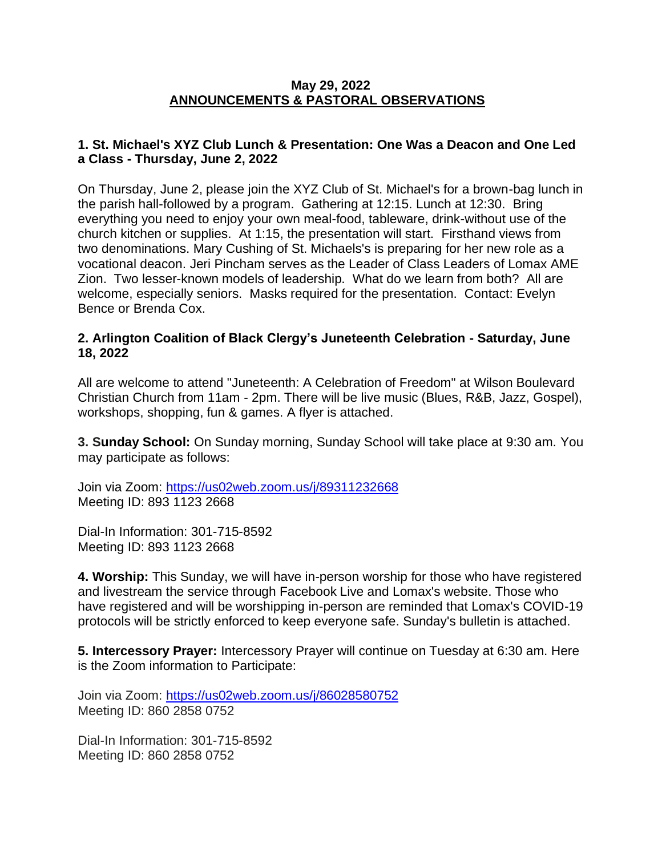### **May 29, 2022 ANNOUNCEMENTS & PASTORAL OBSERVATIONS**

## **1. St. Michael's XYZ Club Lunch & Presentation: One Was a Deacon and One Led a Class - Thursday, June 2, 2022**

On Thursday, June 2, please join the XYZ Club of St. Michael's for a brown-bag lunch in the parish hall-followed by a program. Gathering at 12:15. Lunch at 12:30. Bring everything you need to enjoy your own meal-food, tableware, drink-without use of the church kitchen or supplies. At 1:15, the presentation will start. Firsthand views from two denominations. Mary Cushing of St. Michaels's is preparing for her new role as a vocational deacon. Jeri Pincham serves as the Leader of Class Leaders of Lomax AME Zion. Two lesser-known models of leadership. What do we learn from both? All are welcome, especially seniors. Masks required for the presentation. Contact: Evelyn Bence or Brenda Cox.

### **2. Arlington Coalition of Black Clergy's Juneteenth Celebration - Saturday, June 18, 2022**

All are welcome to attend "Juneteenth: A Celebration of Freedom" at Wilson Boulevard Christian Church from 11am - 2pm. There will be live music (Blues, R&B, Jazz, Gospel), workshops, shopping, fun & games. A flyer is attached.

**3. Sunday School:** On Sunday morning, Sunday School will take place at 9:30 am. You may participate as follows:

Join via Zoom: [https://us02web.zoom.us/j/89311232668](https://nam12.safelinks.protection.outlook.com/?url=https%3A%2F%2Fus02web.zoom.us%2Fj%2F89311232668&data=05%7C01%7C%7C8714deb1965945c5f4ee08da24a374a5%7C84df9e7fe9f640afb435aaaaaaaaaaaa%7C1%7C0%7C637862582633681611%7CUnknown%7CTWFpbGZsb3d8eyJWIjoiMC4wLjAwMDAiLCJQIjoiV2luMzIiLCJBTiI6Ik1haWwiLCJXVCI6Mn0%3D%7C3000%7C%7C%7C&sdata=D7zci727cCnw8JHoblnpgMx8Ny63mTTDEJa%2BSeJ64%2FE%3D&reserved=0) Meeting ID: 893 1123 2668

Dial-In Information: 301-715-8592 Meeting ID: 893 1123 2668

**4. Worship:** This Sunday, we will have in-person worship for those who have registered and livestream the service through Facebook Live and Lomax's website. Those who have registered and will be worshipping in-person are reminded that Lomax's COVID-19 protocols will be strictly enforced to keep everyone safe. Sunday's bulletin is attached.

**5. Intercessory Prayer:** Intercessory Prayer will continue on Tuesday at 6:30 am. Here is the Zoom information to Participate:

Join via Zoom: [https://us02web.zoom.us/j/86028580752](https://nam12.safelinks.protection.outlook.com/?url=https%3A%2F%2Fus02web.zoom.us%2Fj%2F86028580752&data=05%7C01%7C%7C8714deb1965945c5f4ee08da24a374a5%7C84df9e7fe9f640afb435aaaaaaaaaaaa%7C1%7C0%7C637862582633681611%7CUnknown%7CTWFpbGZsb3d8eyJWIjoiMC4wLjAwMDAiLCJQIjoiV2luMzIiLCJBTiI6Ik1haWwiLCJXVCI6Mn0%3D%7C3000%7C%7C%7C&sdata=M6hlbwTsBXlaHHzuI2VYO7h1qGfzM1nL%2BBkOxg0V4Ls%3D&reserved=0) Meeting ID: 860 2858 0752

Dial-In Information: 301-715-8592 Meeting ID: 860 2858 0752